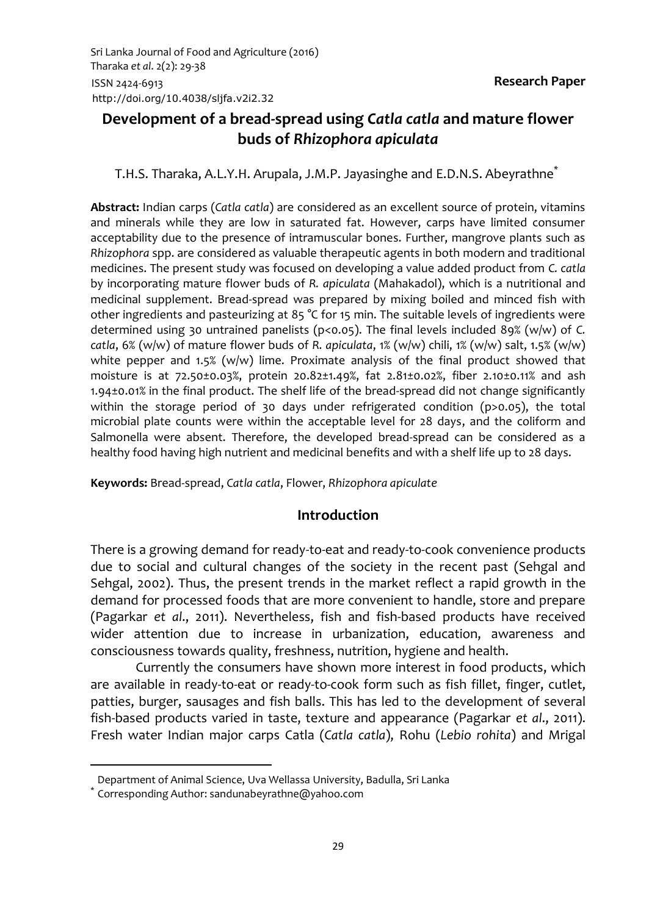# **Development of a bread-spread using** *Catla catla* **and mature flower buds of** *Rhizophora apiculata*

T.H.S. Tharaka, A.L.Y.H. Arupala, J.M.P. Jayasinghe and E.D.N.S. Abeyrathne<sup>\*</sup>

**Abstract:** Indian carps (*Catla catla*) are considered as an excellent source of protein, vitamins and minerals while they are low in saturated fat. However, carps have limited consumer acceptability due to the presence of intramuscular bones. Further, mangrove plants such as *Rhizophora* spp. are considered as valuable therapeutic agents in both modern and traditional medicines. The present study was focused on developing a value added product from *C. catla* by incorporating mature flower buds of *R. apiculata* (Mahakadol), which is a nutritional and medicinal supplement. Bread-spread was prepared by mixing boiled and minced fish with other ingredients and pasteurizing at 85 °C for 15 min. The suitable levels of ingredients were determined using 30 untrained panelists (p<0.05). The final levels included 89% (w/w) of *C. catla*, 6% (w/w) of mature flower buds of *R. apiculata*, 1% (w/w) chili, 1% (w/w) salt, 1.5% (w/w) white pepper and 1.5% ( $w/w$ ) lime. Proximate analysis of the final product showed that moisture is at 72.50±0.03%, protein 20.82±1.49%, fat 2.81±0.02%, fiber 2.10±0.11% and ash 1.94±0.01% in the final product. The shelf life of the bread-spread did not change significantly within the storage period of 30 days under refrigerated condition (p>0.05), the total microbial plate counts were within the acceptable level for 28 days, and the coliform and Salmonella were absent. Therefore, the developed bread-spread can be considered as a healthy food having high nutrient and medicinal benefits and with a shelf life up to 28 days.

**Keywords:** Bread-spread, *Catla catla*, Flower, *Rhizophora apiculate*

#### **Introduction**

There is a growing demand for ready-to-eat and ready-to-cook convenience products due to social and cultural changes of the society in the recent past (Sehgal and Sehgal, 2002). Thus, the present trends in the market reflect a rapid growth in the demand for processed foods that are more convenient to handle, store and prepare (Pagarkar *et al*., 2011). Nevertheless, fish and fish-based products have received wider attention due to increase in urbanization, education, awareness and consciousness towards quality, freshness, nutrition, hygiene and health.

Currently the consumers have shown more interest in food products, which are available in ready-to-eat or ready-to-cook form such as fish fillet, finger, cutlet, patties, burger, sausages and fish balls. This has led to the development of several fish-based products varied in taste, texture and appearance (Pagarkar *et al*., 2011). Fresh water Indian major carps Catla (*Catla catla*), Rohu (*Lebio rohita*) and Mrigal

**.** 

Department of Animal Science, Uva Wellassa University, Badulla, Sri Lanka

<sup>\*</sup> Corresponding Author: [sandunabeyrathne@yahoo.com](mailto:sandunabeyrathne@yahoo.com)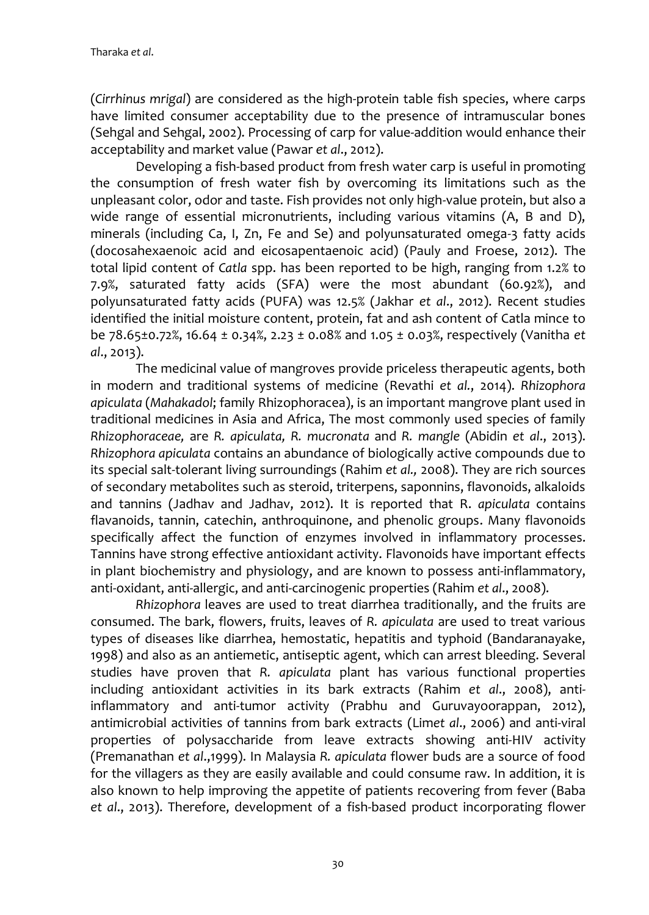(*Cirrhinus mrigal*) are considered as the high-protein table fish species, where carps have limited consumer acceptability due to the presence of intramuscular bones (Sehgal and Sehgal, 2002). Processing of carp for value-addition would enhance their acceptability and market value (Pawar *et al*., 2012).

Developing a fish-based product from fresh water carp is useful in promoting the consumption of fresh water fish by overcoming its limitations such as the unpleasant color, odor and taste. Fish provides not only high-value protein, but also a wide range of essential micronutrients, including various vitamins (A, B and D), minerals (including Ca, I, Zn, Fe and Se) and polyunsaturated omega-3 fatty acids (docosahexaenoic acid and eicosapentaenoic acid) (Pauly and Froese, 2012). The total lipid content of *Catla* spp. has been reported to be high, ranging from 1.2% to 7.9%, saturated fatty acids (SFA) were the most abundant (60.92%), and polyunsaturated fatty acids (PUFA) was 12.5% (Jakhar *et al*., 2012). Recent studies identified the initial moisture content, protein, fat and ash content of Catla mince to be 78.65±0.72%, 16.64 ± 0.34%, 2.23 ± 0.08% and 1.05 ± 0.03%, respectively (Vanitha *et al*., 2013).

The medicinal value of mangroves provide priceless therapeutic agents, both in modern and traditional systems of medicine (Revathi *et al.*, 2014). *Rhizophora apiculata* (*Mahakadol*; family Rhizophoracea), is an important mangrove plant used in traditional medicines in Asia and Africa, The most commonly used species of family *Rhizophoraceae,* are *R. apiculata, R. mucronata* and *R. mangle* (Abidin *et al*., 2013). *Rhizophora apiculata* contains an abundance of biologically active compounds due to its special salt-tolerant living surroundings (Rahim *et al.,* 2008). They are rich sources of secondary metabolites such as steroid, triterpens, saponnins, flavonoids, alkaloids and tannins (Jadhav and Jadhav, 2012). It is reported that R. *apiculata* contains flavanoids, tannin, catechin, anthroquinone, and phenolic groups. Many flavonoids specifically affect the function of enzymes involved in inflammatory processes. Tannins have strong effective antioxidant activity. Flavonoids have important effects in plant biochemistry and physiology, and are known to possess anti-inflammatory, anti-oxidant, anti-allergic, and anti-carcinogenic properties (Rahim *et al*., 2008).

*Rhizophora* leaves are used to treat diarrhea traditionally, and the fruits are consumed. The bark, flowers, fruits, leaves of *R. apiculata* are used to treat various types of diseases like diarrhea, hemostatic, hepatitis and typhoid (Bandaranayake, 1998) and also as an antiemetic, antiseptic agent, which can arrest bleeding. Several studies have proven that *R. apiculata* plant has various functional properties including antioxidant activities in its bark extracts (Rahim *et al*., 2008), antiinflammatory and anti-tumor activity (Prabhu and Guruvayoorappan, 2012), antimicrobial activities of tannins from bark extracts (Lim*et al*., 2006) and anti-viral properties of polysaccharide from leave extracts showing anti-HIV activity (Premanathan *et al*.,1999). In Malaysia *R. apiculata* flower buds are a source of food for the villagers as they are easily available and could consume raw. In addition, it is also known to help improving the appetite of patients recovering from fever (Baba *et al*., 2013). Therefore, development of a fish-based product incorporating flower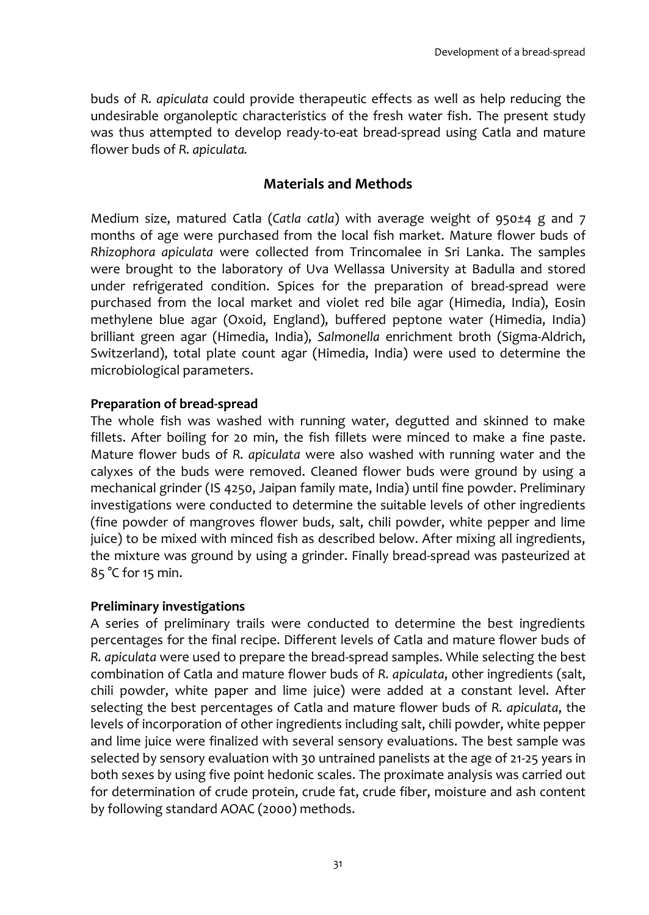buds of *R. apiculata* could provide therapeutic effects as well as help reducing the undesirable organoleptic characteristics of the fresh water fish. The present study was thus attempted to develop ready-to-eat bread-spread using Catla and mature flower buds of *R. apiculata.*

# **Materials and Methods**

Medium size, matured Catla (*Catla catla*) with average weight of 950±4 g and 7 months of age were purchased from the local fish market. Mature flower buds of *Rhizophora apiculata* were collected from Trincomalee in Sri Lanka. The samples were brought to the laboratory of Uva Wellassa University at Badulla and stored under refrigerated condition. Spices for the preparation of bread-spread were purchased from the local market and violet red bile agar (Himedia, India), Eosin methylene blue agar (Oxoid, England), buffered peptone water (Himedia, India) brilliant green agar (Himedia, India), *Salmonella* enrichment broth (Sigma-Aldrich, Switzerland), total plate count agar (Himedia, India) were used to determine the microbiological parameters.

## **Preparation of bread-spread**

The whole fish was washed with running water, degutted and skinned to make fillets. After boiling for 20 min, the fish fillets were minced to make a fine paste. Mature flower buds of *R. apiculata* were also washed with running water and the calyxes of the buds were removed. Cleaned flower buds were ground by using a mechanical grinder (IS 4250, Jaipan family mate, India) until fine powder. Preliminary investigations were conducted to determine the suitable levels of other ingredients (fine powder of mangroves flower buds, salt, chili powder, white pepper and lime juice) to be mixed with minced fish as described below. After mixing all ingredients, the mixture was ground by using a grinder. Finally bread-spread was pasteurized at 85 °C for 15 min.

## **Preliminary investigations**

A series of preliminary trails were conducted to determine the best ingredients percentages for the final recipe. Different levels of Catla and mature flower buds of *R. apiculata* were used to prepare the bread-spread samples. While selecting the best combination of Catla and mature flower buds of *R. apiculata*, other ingredients (salt, chili powder, white paper and lime juice) were added at a constant level. After selecting the best percentages of Catla and mature flower buds of *R. apiculata*, the levels of incorporation of other ingredients including salt, chili powder, white pepper and lime juice were finalized with several sensory evaluations. The best sample was selected by sensory evaluation with 30 untrained panelists at the age of 21-25 years in both sexes by using five point hedonic scales. The proximate analysis was carried out for determination of crude protein, crude fat, crude fiber, moisture and ash content by following standard AOAC (2000) methods.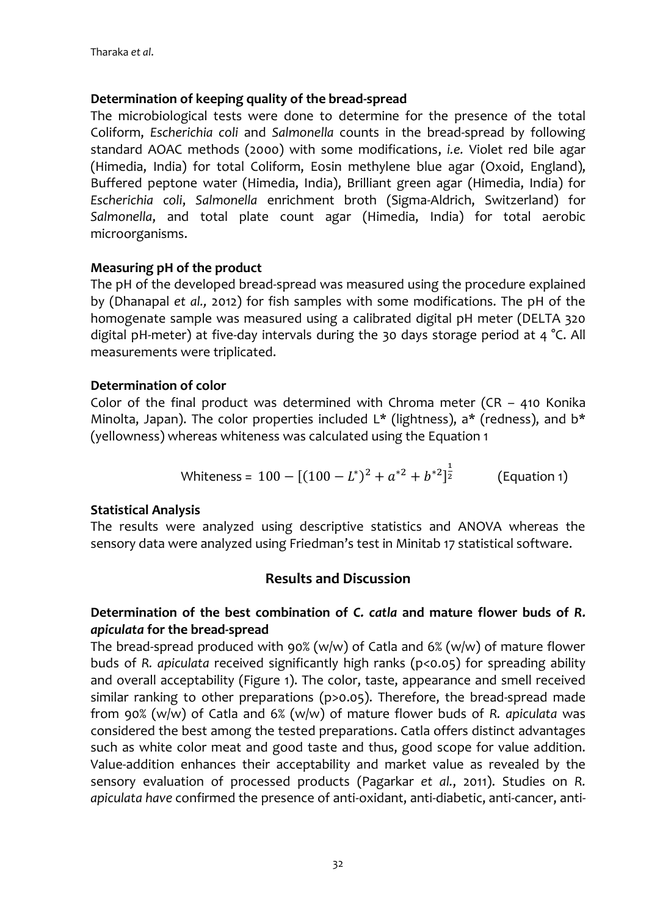## **Determination of keeping quality of the bread-spread**

The microbiological tests were done to determine for the presence of the total Coliform, *Escherichia coli* and *Salmonella* counts in the bread-spread by following standard AOAC methods (2000) with some modifications, *i.e.* Violet red bile agar (Himedia, India) for total Coliform, Eosin methylene blue agar (Oxoid, England), Buffered peptone water (Himedia, India), Brilliant green agar (Himedia, India) for *Escherichia coli*, *Salmonella* enrichment broth (Sigma-Aldrich, Switzerland) for *Salmonella*, and total plate count agar (Himedia, India) for total aerobic microorganisms.

#### **Measuring pH of the product**

The pH of the developed bread-spread was measured using the procedure explained by (Dhanapal *et al.,* 2012) for fish samples with some modifications. The pH of the homogenate sample was measured using a calibrated digital pH meter (DELTA 320 digital pH-meter) at five-day intervals during the 30 days storage period at 4 °C. All measurements were triplicated.

#### **Determination of color**

Color of the final product was determined with Chroma meter (CR - 410 Konika Minolta, Japan). The color properties included  $L^*$  (lightness), a\* (redness), and  $b^*$ (yellowness) whereas whiteness was calculated using the Equation 1

Whiteness = 
$$
100 - [(100 - L^*)^2 + a^{*2} + b^{*2}]^{\frac{1}{2}}
$$
 (Equation 1)

## **Statistical Analysis**

The results were analyzed using descriptive statistics and ANOVA whereas the sensory data were analyzed using Friedman's test in Minitab 17 statistical software.

## **Results and Discussion**

## **Determination of the best combination of** *C. catla* **and mature flower buds of** *R. apiculata* **for the bread-spread**

The bread-spread produced with 90% (w/w) of Catla and 6% (w/w) of mature flower buds of *R. apiculata* received significantly high ranks (p<0.05) for spreading ability and overall acceptability (Figure 1). The color, taste, appearance and smell received similar ranking to other preparations (p>0.05). Therefore, the bread-spread made from 90% (w/w) of Catla and 6% (w/w) of mature flower buds of *R. apiculata* was considered the best among the tested preparations. Catla offers distinct advantages such as white color meat and good taste and thus, good scope for value addition. Value-addition enhances their acceptability and market value as revealed by the sensory evaluation of processed products [\(Pagarkar](#page-8-0) *et al.*, 2011). Studies on *R. apiculata have* confirmed the presence of anti-oxidant, anti-diabetic, anti-cancer, anti-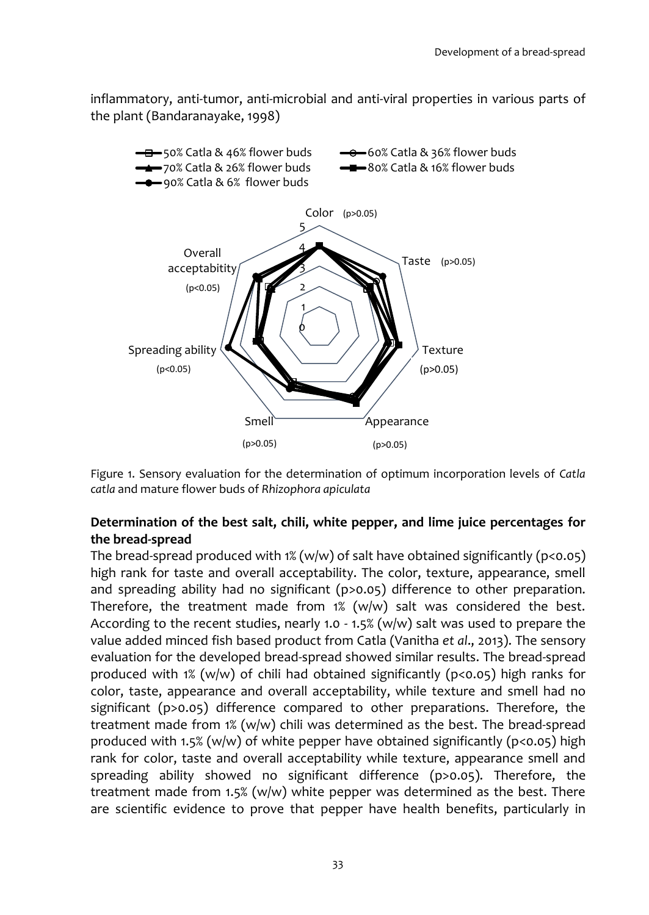inflammatory, anti-tumor, anti-microbial and anti-viral properties in various parts of the plant (Bandaranayake, 1998)



Figure 1. Sensory evaluation for the determination of optimum incorporation levels of *Catla catla* and mature flower buds of *Rhizophora apiculata*

## **Determination of the best salt, chili, white pepper, and lime juice percentages for the bread-spread**

The bread-spread produced with  $1\%$  (w/w) of salt have obtained significantly (p<0.05) high rank for taste and overall acceptability. The color, texture, appearance, smell and spreading ability had no significant (p>0.05) difference to other preparation. Therefore, the treatment made from  $1\%$  (w/w) salt was considered the best. According to the recent studies, nearly 1.0 - 1.5% (w/w) salt was used to prepare the value added minced fish based product from Catla (Vanitha *et al*., 2013). The sensory evaluation for the developed bread-spread showed similar results. The bread-spread produced with 1% (w/w) of chili had obtained significantly ( $p$ <0.05) high ranks for color, taste, appearance and overall acceptability, while texture and smell had no significant (p>0.05) difference compared to other preparations. Therefore, the treatment made from 1% (w/w) chili was determined as the best. The bread-spread produced with 1.5% (w/w) of white pepper have obtained significantly ( $p<0.05$ ) high rank for color, taste and overall acceptability while texture, appearance smell and spreading ability showed no significant difference (p>0.05). Therefore, the treatment made from 1.5% ( $w/w$ ) white pepper was determined as the best. There are scientific evidence to prove that pepper have health benefits, particularly in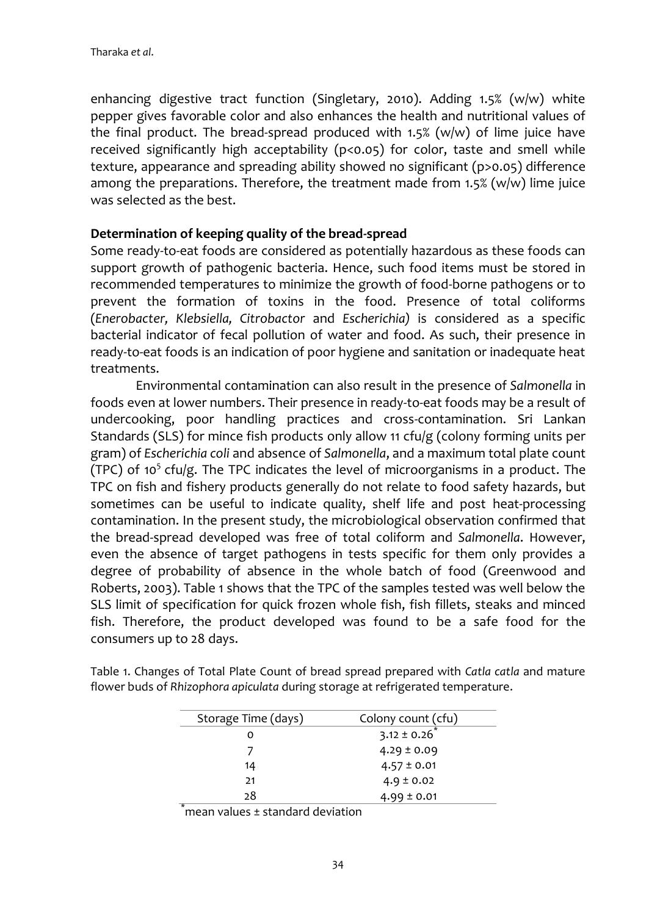enhancing digestive tract function (Singletary, 2010). Adding 1.5% (w/w) white pepper gives favorable color and also enhances the health and nutritional values of the final product. The bread-spread produced with 1.5% (w/w) of lime juice have received significantly high acceptability (p<0.05) for color, taste and smell while texture, appearance and spreading ability showed no significant (p>0.05) difference among the preparations. Therefore, the treatment made from  $1.5\%$  (w/w) lime juice was selected as the best.

#### **Determination of keeping quality of the bread-spread**

Some ready-to-eat foods are considered as potentially hazardous as these foods can support growth of pathogenic bacteria. Hence, such food items must be stored in recommended temperatures to minimize the growth of food-borne pathogens or to prevent the formation of toxins in the food. Presence of total coliforms (*Enerobacter, Klebsiella, Citrobactor* and *Escherichia)* is considered as a specific bacterial indicator of fecal pollution of water and food. As such, their presence in ready-to-eat foods is an indication of poor hygiene and sanitation or inadequate heat treatments.

Environmental contamination can also result in the presence of *Salmonella* in foods even at lower numbers. Their presence in ready-to-eat foods may be a result of undercooking, poor handling practices and cross-contamination. Sri Lankan Standards (SLS) for mince fish products only allow 11 cfu/g (colony forming units per gram) of *Escherichia coli* and absence of *Salmonella*, and a maximum total plate count (TPC) of 10<sup>5</sup> cfu/g. The TPC indicates the level of microorganisms in a product. The TPC on fish and fishery products generally do not relate to food safety hazards, but sometimes can be useful to indicate quality, shelf life and post heat-processing contamination. In the present study, the microbiological observation confirmed that the bread-spread developed was free of total coliform and *Salmonella*. However, even the absence of target pathogens in tests specific for them only provides a degree of probability of absence in the whole batch of food (Greenwood and Roberts, 2003). Table 1 shows that the TPC of the samples tested was well below the SLS limit of specification for quick frozen whole fish, fish fillets, steaks and minced fish. Therefore, the product developed was found to be a safe food for the consumers up to 28 days.

| Storage Time (days) | Colony count (cfu)           |  |
|---------------------|------------------------------|--|
| Ω                   | $3.12 \pm 0.26$ <sup>*</sup> |  |
|                     | $4.29 \pm 0.09$              |  |
| 14                  | $4.57 \pm 0.01$              |  |
| 21                  | $4.9 \pm 0.02$               |  |
| 28                  | $4.99 \pm 0.01$              |  |

Table 1. Changes of Total Plate Count of bread spread prepared with *Catla catla* and mature flower buds of *Rhizophora apiculata* during storage at refrigerated temperature.

 $\hat{ }$ mean values  $\pm$  standard deviation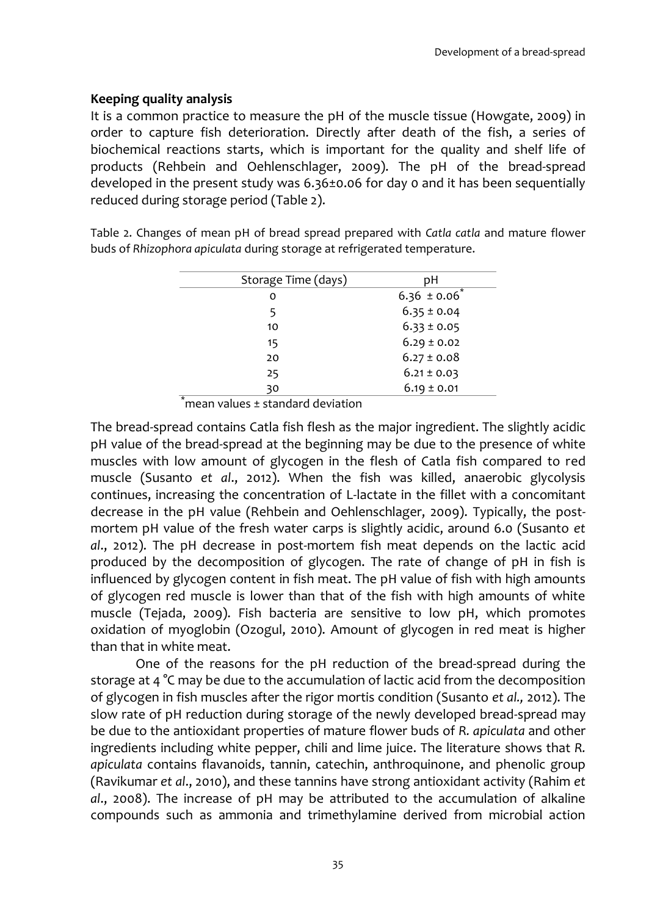## **Keeping quality analysis**

It is a common practice to measure the pH of the muscle tissue (Howgate, 2009) in order to capture fish deterioration. Directly after death of the fish, a series of biochemical reactions starts, which is important for the quality and shelf life of products (Rehbein and Oehlenschlager, 2009). The pH of the bread-spread developed in the present study was 6.36±0.06 for day 0 and it has been sequentially reduced during storage period (Table 2).

Table 2. Changes of mean pH of bread spread prepared with *Catla catla* and mature flower buds of *Rhizophora apiculata* during storage at refrigerated temperature.

| Storage Time (days) | рH                |  |
|---------------------|-------------------|--|
| o                   | $6.36 \pm 0.06^*$ |  |
| 5                   | $6.35 \pm 0.04$   |  |
| 10                  | $6.33 \pm 0.05$   |  |
| 15                  | $6.29 \pm 0.02$   |  |
| 20                  | $6.27 \pm 0.08$   |  |
| 25                  | $6.21 \pm 0.03$   |  |
| 30                  | $6.19 \pm 0.01$   |  |

\*mean values ± standard deviation

The bread-spread contains Catla fish flesh as the major ingredient. The slightly acidic pH value of the bread-spread at the beginning may be due to the presence of white muscles with low amount of glycogen in the flesh of Catla fish compared to red muscle (Susanto *et al*., 2012). When the fish was killed, anaerobic glycolysis continues, increasing the concentration of L-lactate in the fillet with a concomitant decrease in the pH value (Rehbein and Oehlenschlager, 2009). Typically, the postmortem pH value of the fresh water carps is slightly acidic, around 6.0 (Susanto *et al*., 2012). The pH decrease in post-mortem fish meat depends on the lactic acid produced by the decomposition of glycogen. The rate of change of pH in fish is influenced by glycogen content in fish meat. The pH value of fish with high amounts of glycogen red muscle is lower than that of the fish with high amounts of white muscle (Tejada, 2009). Fish bacteria are sensitive to low pH, which promotes oxidation of myoglobin (Ozogul, 2010). Amount of glycogen in red meat is higher than that in white meat.

One of the reasons for the pH reduction of the bread-spread during the storage at 4 °C may be due to the accumulation of lactic acid from the decomposition of glycogen in fish muscles after the rigor mortis condition (Susanto *et al.,* 2012). The slow rate of pH reduction during storage of the newly developed bread-spread may be due to the antioxidant properties of mature flower buds of *R. apiculata* and other ingredients including white pepper, chili and lime juice. The literature shows that *R. apiculata* contains flavanoids, tannin, catechin, anthroquinone, and phenolic group (Ravikumar *et al*., 2010), and these tannins have strong antioxidant activity (Rahim *et al*., 2008). The increase of pH may be attributed to the accumulation of alkaline compounds such as ammonia and trimethylamine derived from microbial action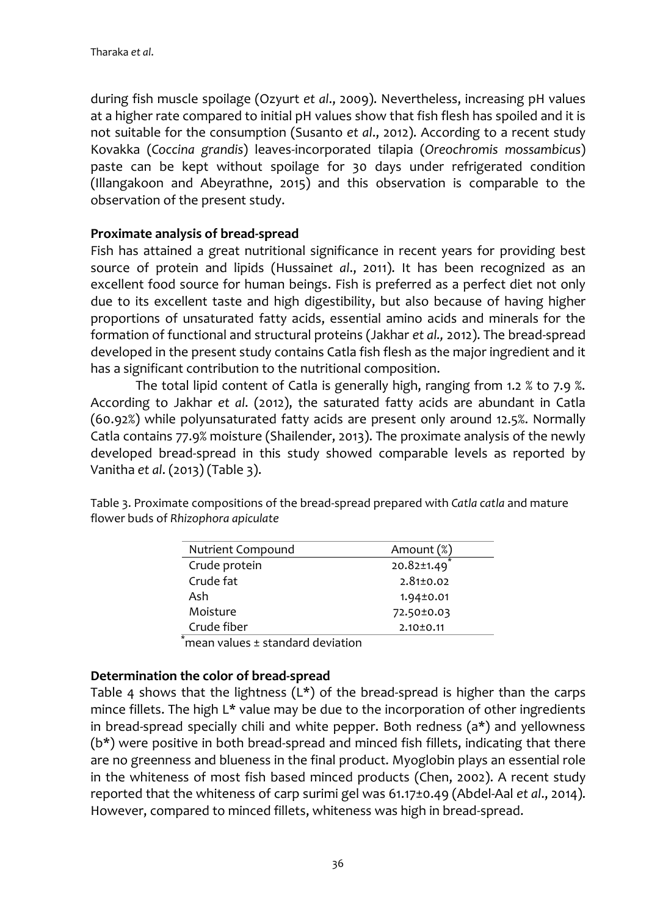during fish muscle spoilage (Ozyurt *et al*., 2009). Nevertheless, increasing pH values at a higher rate compared to initial pH values show that fish flesh has spoiled and it is not suitable for the consumption (Susanto *et al*., 2012). According to a recent study Kovakka (*Coccina grandis*) leaves-incorporated tilapia (*Oreochromis mossambicus*) paste can be kept without spoilage for 30 days under refrigerated condition (Illangakoon and Abeyrathne, 2015) and this observation is comparable to the observation of the present study.

#### **Proximate analysis of bread-spread**

Fish has attained a great nutritional significance in recent years for providing best source of protein and lipids (Hussain*et al*., 2011). It has been recognized as an excellent food source for human beings. Fish is preferred as a perfect diet not only due to its excellent taste and high digestibility, but also because of having higher proportions of unsaturated fatty acids, essential amino acids and minerals for the formation of functional and structural proteins (Jakhar *et al.,* 2012). The bread-spread developed in the present study contains Catla fish flesh as the major ingredient and it has a significant contribution to the nutritional composition.

The total lipid content of Catla is generally high, ranging from 1.2 % to 7.9 %. According to Jakhar *et al*. (2012), the saturated fatty acids are abundant in Catla (60.92%) while polyunsaturated fatty acids are present only around 12.5%. Normally Catla contains 77.9% moisture (Shailender, 2013). The proximate analysis of the newly developed bread-spread in this study showed comparable levels as reported by Vanitha *et al*. (2013) (Table 3).

| Amount (%)      |
|-----------------|
| 20.82±1.49      |
| $2.81 \pm 0.02$ |
| $1.94 \pm 0.01$ |
| 72.50±0.03      |
| $2.10 \pm 0.11$ |
|                 |

Table 3. Proximate compositions of the bread-spread prepared with *Catla catla* and mature flower buds of *Rhizophora apiculate*

 $\lq$ mean values  $\pm$  standard deviation

#### **Determination the color of bread-spread**

Table 4 shows that the lightness  $(L<sup>*</sup>)$  of the bread-spread is higher than the carps mince fillets. The high L\* value may be due to the incorporation of other ingredients in bread-spread specially chili and white pepper. Both redness  $(a<sup>*</sup>)$  and yellowness (b\*) were positive in both bread-spread and minced fish fillets, indicating that there are no greenness and blueness in the final product. Myoglobin plays an essential role in the whiteness of most fish based minced products (Chen, 2002). A recent study reported that the whiteness of carp surimi gel was 61.17±0.49 (Abdel-Aal *et al*., 2014). However, compared to minced fillets, whiteness was high in bread-spread.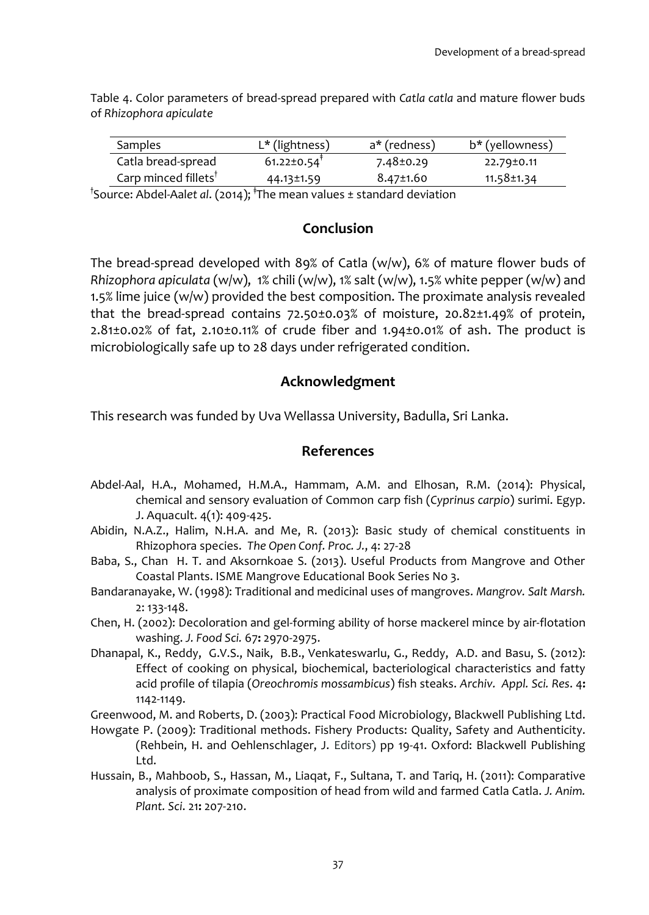Table 4. Color parameters of bread-spread prepared with *Catla catla* and mature flower buds of *Rhizophora apiculate*

| Samples                          | $L^*$ (lightness)             | a* (redness)    | b* (yellowness)  |
|----------------------------------|-------------------------------|-----------------|------------------|
| Catla bread-spread               | $61.22 \pm 0.54$ <sup>†</sup> | $7.48 \pm 0.29$ | 22.79±0.11       |
| Carp minced fillets <sup>T</sup> | 44.13±1.59                    | $8.47 \pm 1.60$ | $11.58 \pm 1.34$ |
| .                                |                               |                 |                  |

<sup>†</sup>Source: Abdel-Aal*et al*. (2014); <sup>†</sup>The mean values ± standard deviation

#### **Conclusion**

The bread-spread developed with 89% of Catla (w/w), 6% of mature flower buds of *Rhizophora apiculata* (w/w), 1% chili (w/w), 1% salt (w/w), 1.5% white pepper (w/w) and 1.5% lime juice (w/w) provided the best composition. The proximate analysis revealed that the bread-spread contains 72.50±0.03% of moisture, 20.82±1.49% of protein, 2.81±0.02% of fat, 2.10±0.11% of crude fiber and 1.94±0.01% of ash. The product is microbiologically safe up to 28 days under refrigerated condition.

## **Acknowledgment**

This research was funded by Uva Wellassa University, Badulla, Sri Lanka.

## **References**

- Abdel-Aal, H.A., Mohamed, H.M.A., Hammam, A.M. and Elhosan, R.M. (2014): Physical, chemical and sensory evaluation of Common carp fish (*Cyprinus carpio*) surimi. Egyp. J. Aquacult. 4(1): 409-425.
- Abidin, N.A.Z., Halim, N.H.A. and Me, R. (2013): Basic study of chemical constituents in Rhizophora species. *The Open Conf. Proc. J.*, 4: 27-28
- Baba, S., Chan H. T. and Aksornkoae S. (2013). Useful Products from Mangrove and Other Coastal Plants. ISME Mangrove Educational Book Series No 3.
- Bandaranayake, W. (1998): Traditional and medicinal uses of mangroves. *Mangrov. Salt Marsh.* 2: 133-148.
- <span id="page-8-0"></span>Chen, H. (2002): Decoloration and gel‐forming ability of horse mackerel mince by air‐flotation washing. *J. Food Sci.* 67**:** 2970-2975.
- Dhanapal, K., Reddy, G.V.S., Naik, B.B., Venkateswarlu, G., Reddy, A.D. and Basu, S. (2012): Effect of cooking on physical, biochemical, bacteriological characteristics and fatty acid profile of tilapia (*Oreochromis mossambicus*) fish steaks. *Archiv. Appl. Sci. Res*. 4**:** 1142-1149.
- Greenwood, M. and Roberts, D. (2003): Practical Food Microbiology, Blackwell Publishing Ltd.
- Howgate P. (2009): Traditional methods. Fishery Products: Quality, Safety and Authenticity. (Rehbein, H. and Oehlenschlager, J. Editors) pp 19-41. Oxford: Blackwell Publishing Ltd.
- Hussain, B., Mahboob, S., Hassan, M., Liaqat, F., Sultana, T. and Tariq, H. (2011): Comparative analysis of proximate composition of head from wild and farmed Catla Catla. *J. Anim. Plant. Sci*. 21**:** 207-210.